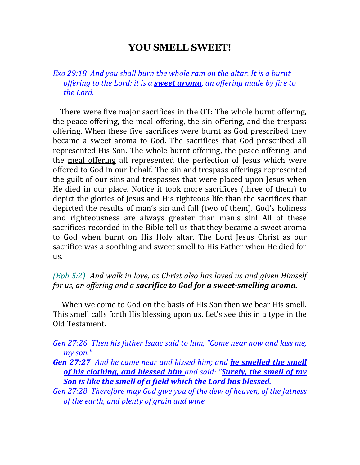## **YOU SMELL SWEET!**

*Exo 29:18 And you shall burn the whole ram on the altar. It is a burnt offering to the Lord; it is a sweet aroma, an offering made by fire to the Lord.* 

 There were five major sacrifices in the OT: The whole burnt offering, the peace offering, the meal offering, the sin offering, and the trespass offering. When these five sacrifices were burnt as God prescribed they became a sweet aroma to God. The sacrifices that God prescribed all represented His Son. The whole burnt offering, the peace offering, and the meal offering all represented the perfection of Jesus which were offered to God in our behalf. The sin and trespass offerings represented the guilt of our sins and trespasses that were placed upon Jesus when He died in our place. Notice it took more sacrifices (three of them) to depict the glories of Jesus and His righteous life than the sacrifices that depicted the results of man's sin and fall (two of them). God's holiness and righteousness are always greater than man's sin! All of these sacrifices recorded in the Bible tell us that they became a sweet aroma to God when burnt on His Holy altar. The Lord Jesus Christ as our sacrifice was a soothing and sweet smell to His Father when He died for us.

*(Eph 5:2) And walk in love, as Christ also has loved us and given Himself for us, an offering and a sacrifice to God for a sweet-smelling aroma.*

 When we come to God on the basis of His Son then we bear His smell. This smell calls forth His blessing upon us. Let's see this in a type in the Old Testament.

*Gen 27:26 Then his father Isaac said to him, "Come near now and kiss me, my son."* 

*Gen 27:27 And he came near and kissed him; and he smelled the smell of his clothing, and blessed him and said: "Surely, the smell of my Son is like the smell of a field which the Lord has blessed.* 

*Gen 27:28 Therefore may God give you of the dew of heaven, of the fatness of the earth, and plenty of grain and wine.*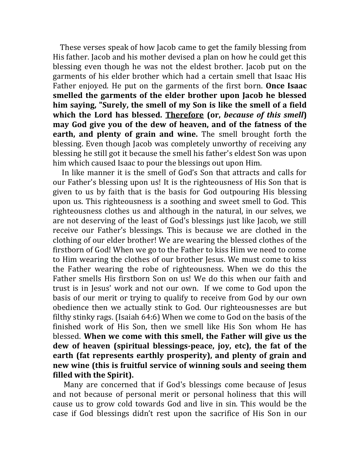These verses speak of how Jacob came to get the family blessing from His father. Jacob and his mother devised a plan on how he could get this blessing even though he was not the eldest brother. Jacob put on the garments of his elder brother which had a certain smell that Isaac His Father enjoyed. He put on the garments of the first born. **Once Isaac smelled the garments of the elder brother upon Jacob he blessed him saying, "Surely, the smell of my Son is like the smell of a field which the Lord has blessed. Therefore (or,** *because of this smell***) may God give you of the dew of heaven, and of the fatness of the earth, and plenty of grain and wine.** The smell brought forth the blessing. Even though Jacob was completely unworthy of receiving any blessing he still got it because the smell his father's eldest Son was upon him which caused Isaac to pour the blessings out upon Him.

 In like manner it is the smell of God's Son that attracts and calls for our Father's blessing upon us! It is the righteousness of His Son that is given to us by faith that is the basis for God outpouring His blessing upon us. This righteousness is a soothing and sweet smell to God. This righteousness clothes us and although in the natural, in our selves, we are not deserving of the least of God's blessings just like Jacob, we still receive our Father's blessings. This is because we are clothed in the clothing of our elder brother! We are wearing the blessed clothes of the firstborn of God! When we go to the Father to kiss Him we need to come to Him wearing the clothes of our brother Jesus. We must come to kiss the Father wearing the robe of righteousness. When we do this the Father smells His firstborn Son on us! We do this when our faith and trust is in Jesus' work and not our own. If we come to God upon the basis of our merit or trying to qualify to receive from God by our own obedience then we actually stink to God. Our righteousnesses are but filthy stinky rags. (Isaiah 64:6) When we come to God on the basis of the finished work of His Son, then we smell like His Son whom He has blessed. **When we come with this smell, the Father will give us the dew of heaven (spiritual blessings-peace, joy, etc), the fat of the earth (fat represents earthly prosperity), and plenty of grain and new wine (this is fruitful service of winning souls and seeing them filled with the Spirit).**

 Many are concerned that if God's blessings come because of Jesus and not because of personal merit or personal holiness that this will cause us to grow cold towards God and live in sin. This would be the case if God blessings didn't rest upon the sacrifice of His Son in our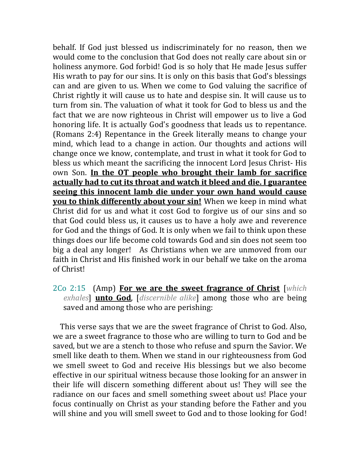behalf. If God just blessed us indiscriminately for no reason, then we would come to the conclusion that God does not really care about sin or holiness anymore. God forbid! God is so holy that He made Jesus suffer His wrath to pay for our sins. It is only on this basis that God's blessings can and are given to us. When we come to God valuing the sacrifice of Christ rightly it will cause us to hate and despise sin. It will cause us to turn from sin. The valuation of what it took for God to bless us and the fact that we are now righteous in Christ will empower us to live a God honoring life. It is actually God's goodness that leads us to repentance. (Romans 2:4) Repentance in the Greek literally means to change your mind, which lead to a change in action. Our thoughts and actions will change once we know, contemplate, and trust in what it took for God to bless us which meant the sacrificing the innocent Lord Jesus Christ- His own Son. **In the OT people who brought their lamb for sacrifice actually had to cut its throat and watch it bleed and die. I guarantee seeing this innocent lamb die under your own hand would cause you to think differently about your sin!** When we keep in mind what Christ did for us and what it cost God to forgive us of our sins and so that God could bless us, it causes us to have a holy awe and reverence for God and the things of God. It is only when we fail to think upon these things does our life become cold towards God and sin does not seem too big a deal any longer! As Christians when we are unmoved from our faith in Christ and His finished work in our behalf we take on the aroma of Christ!

2Co 2:15 (Amp) **For we are the sweet fragrance of Christ** [*which exhales*] **unto God**, [*discernible alike*] among those who are being saved and among those who are perishing:

 This verse says that we are the sweet fragrance of Christ to God. Also, we are a sweet fragrance to those who are willing to turn to God and be saved, but we are a stench to those who refuse and spurn the Savior. We smell like death to them. When we stand in our righteousness from God we smell sweet to God and receive His blessings but we also become effective in our spiritual witness because those looking for an answer in their life will discern something different about us! They will see the radiance on our faces and smell something sweet about us! Place your focus continually on Christ as your standing before the Father and you will shine and you will smell sweet to God and to those looking for God!